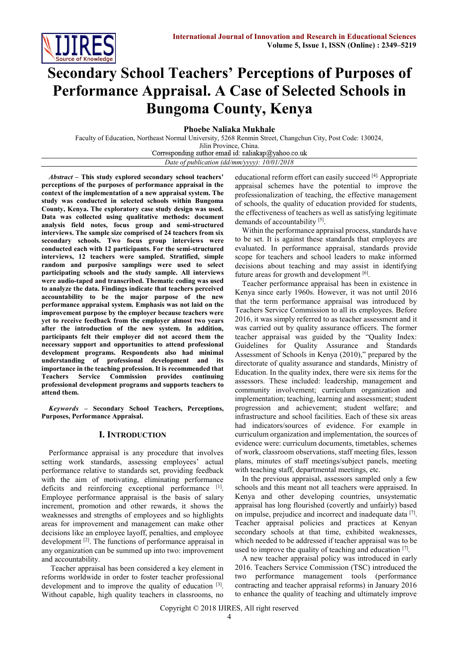

# **Secondary School Teachers' Perceptions of Purposes of Performance Appraisal. A Case of Selected Schools in Bungoma County, Kenya**

**Phoebe Naliaka Mukhale** 

Faculty of Education, Northeast Normal University, 5268 Renmin Street, Changchun City, Post Code: 130024, Jilin Province, China.<br>Corresponding author email id: naliakap@yahoo.co.uk *Date of publication (dd/mm/yyyy): 10/01/2018*

*Abstract* **– This study explored secondary school teachers' perceptions of the purposes of performance appraisal in the context of the implementation of a new appraisal system. The study was conducted in selected schools within Bungoma County, Kenya. The exploratory case study design was used. Data was collected using qualitative methods: document analysis field notes, focus group and semi-structured interviews. The sample size comprised of 24 teachers from six secondary schools. Two focus group interviews were conducted each with 12 participants. For the semi-structured interviews, 12 teachers were sampled. Stratified, simple random and purposive samplings were used to select participating schools and the study sample. All interviews were audio-taped and transcribed. Thematic coding was used to analyze the data. Findings indicate that teachers perceived accountability to be the major purpose of the new performance appraisal system. Emphasis was not laid on the improvement purpose by the employer because teachers were yet to receive feedback from the employer almost two years after the introduction of the new system. In addition, participants felt their employer did not accord them the necessary support and opportunities to attend professional development programs. Respondents also had minimal understanding of professional development and its importance in the teaching profession. It is recommended that Teachers Service Commission provides continuing professional development programs and supports teachers to attend them.**

*Keywords* **– Secondary School Teachers, Perceptions, Purposes, Performance Appraisal.**

### **I. INTRODUCTION**

Performance appraisal is any procedure that involves setting work standards, assessing employees' actual performance relative to standards set, providing feedback with the aim of motivating, eliminating performance deficits and reinforcing exceptional performance [1]. Employee performance appraisal is the basis of salary increment, promotion and other rewards, it shows the weaknesses and strengths of employees and so highlights areas for improvement and management can make other decisions like an employee layoff, penalties, and employee development<sup>[2]</sup>. The functions of performance appraisal in any organization can be summed up into two: improvement and accountability.

Teacher appraisal has been considered a key element in reforms worldwide in order to foster teacher professional development and to improve the quality of education <sup>[3]</sup>. Without capable, high quality teachers in classrooms, no

educational reform effort can easily succeed [4]. Appropriate appraisal schemes have the potential to improve the professionalization of teaching, the effective management of schools, the quality of education provided for students, the effectiveness of teachers as well as satisfying legitimate demands of accountability [5].

Within the performance appraisal process, standards have to be set. It is against these standards that employees are evaluated. In performance appraisal, standards provide scope for teachers and school leaders to make informed decisions about teaching and may assist in identifying future areas for growth and development [6].

Teacher performance appraisal has been in existence in Kenya since early 1960s. However, it was not until 2016 that the term performance appraisal was introduced by Teachers Service Commission to all its employees. Before 2016, it was simply referred to as teacher assessment and it was carried out by quality assurance officers. The former teacher appraisal was guided by the "Quality Index: Guidelines for Quality Assurance and Standards Assessment of Schools in Kenya (2010)," prepared by the directorate of quality assurance and standards, Ministry of Education. In the quality index, there were six items for the assessors. These included: leadership, management and community involvement; curriculum organization and implementation; teaching, learning and assessment; student progression and achievement; student welfare; and infrastructure and school facilities. Each of these six areas had indicators/sources of evidence. For example in curriculum organization and implementation, the sources of evidence were: curriculum documents, timetables, schemes of work, classroom observations, staff meeting files, lesson plans, minutes of staff meetings/subject panels, meeting with teaching staff, departmental meetings, etc.

In the previous appraisal, assessors sampled only a few schools and this meant not all teachers were appraised. In Kenya and other developing countries, unsystematic appraisal has long flourished (covertly and unfairly) based on impulse, prejudice and incorrect and inadequate data [7]. Teacher appraisal policies and practices at Kenyan secondary schools at that time, exhibited weaknesses, which needed to be addressed if teacher appraisal was to be used to improve the quality of teaching and education [7].

A new teacher appraisal policy was introduced in early 2016. Teachers Service Commission (TSC) introduced the two performance management tools (performance contracting and teacher appraisal reforms) in January 2016 to enhance the quality of teaching and ultimately improve

Copyright © 2018 IJIRES, All right reserved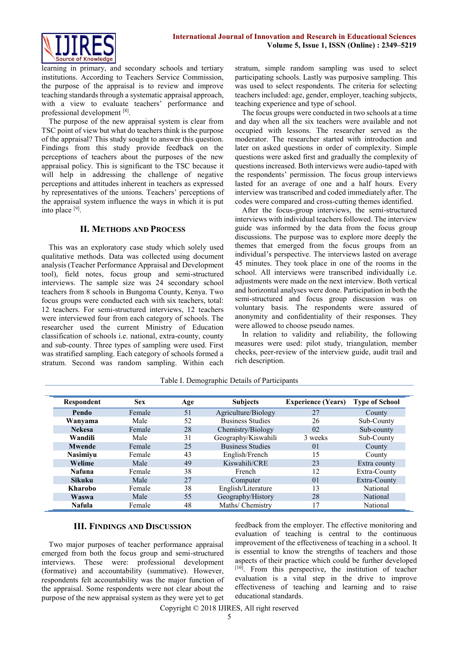

learning in primary, and secondary schools and tertiary institutions. According to Teachers Service Commission, the purpose of the appraisal is to review and improve teaching standards through a systematic appraisal approach, with a view to evaluate teachers' performance and professional development [8].

The purpose of the new appraisal system is clear from TSC point of view but what do teachers think is the purpose of the appraisal? This study sought to answer this question. Findings from this study provide feedback on the perceptions of teachers about the purposes of the new appraisal policy. This is significant to the TSC because it will help in addressing the challenge of negative perceptions and attitudes inherent in teachers as expressed by representatives of the unions. Teachers' perceptions of the appraisal system influence the ways in which it is put into place [9] .

#### **II. METHODS AND PROCESS**

This was an exploratory case study which solely used qualitative methods. Data was collected using document analysis (Teacher Performance Appraisal and Development tool), field notes, focus group and semi-structured interviews. The sample size was 24 secondary school teachers from 8 schools in Bungoma County, Kenya. Two focus groups were conducted each with six teachers, total: 12 teachers. For semi-structured interviews, 12 teachers were interviewed four from each category of schools. The researcher used the current Ministry of Education classification of schools i.e. national, extra-county, county and sub-county. Three types of sampling were used. First was stratified sampling. Each category of schools formed a stratum. Second was random sampling. Within each stratum, simple random sampling was used to select participating schools. Lastly was purposive sampling. This was used to select respondents. The criteria for selecting teachers included: age, gender, employer, teaching subjects, teaching experience and type of school.

The focus groups were conducted in two schools at a time and day when all the six teachers were available and not occupied with lessons. The researcher served as the moderator. The researcher started with introduction and later on asked questions in order of complexity. Simple questions were asked first and gradually the complexity of questions increased. Both interviews were audio-taped with the respondents' permission. The focus group interviews lasted for an average of one and a half hours. Every interview was transcribed and coded immediately after. The codes were compared and cross-cutting themes identified.

After the focus-group interviews, the semi-structured interviews with individual teachers followed. The interview guide was informed by the data from the focus group discussions. The purpose was to explore more deeply the themes that emerged from the focus groups from an individual's perspective. The interviews lasted on average 45 minutes. They took place in one of the rooms in the school. All interviews were transcribed individually i.e. adjustments were made on the next interview. Both vertical and horizontal analyses were done. Participation in both the semi-structured and focus group discussion was on voluntary basis. The respondents were assured of anonymity and confidentiality of their responses. They were allowed to choose pseudo names.

In relation to validity and reliability, the following measures were used: pilot study, triangulation, member checks, peer-review of the interview guide, audit trail and rich description.

| Respondent      | <b>Sex</b> | Age | <b>Subjects</b>         | <b>Experience (Years)</b> | <b>Type of School</b> |
|-----------------|------------|-----|-------------------------|---------------------------|-----------------------|
| Pendo           | Female     | 51  | Agriculture/Biology     | 27                        | County                |
| Wanyama         | Male       | 52  | <b>Business Studies</b> | 26                        | Sub-County            |
| <b>Nekesa</b>   | Female     | 28  | Chemistry/Biology       | 02                        | Sub-county            |
| Wandili         | Male       | 31  | Geography/Kiswahili     | 3 weeks                   | Sub-County            |
| <b>Mwende</b>   | Female     | 25  | <b>Business Studies</b> | 0 <sup>1</sup>            | County                |
| <b>Nasimiyu</b> | Female     | 43  | English/French          | 15                        | County                |
| Welime          | Male       | 49  | Kiswahili/CRE           | 23                        | Extra county          |
| <b>Nafuna</b>   | Female     | 38  | French                  | 12                        | Extra-County          |
| <b>Sikuku</b>   | Male       | 27  | Computer                | 0 <sub>1</sub>            | Extra-County          |
| <b>Kharobo</b>  | Female     | 38  | English/Literature      | 13                        | <b>National</b>       |
| Waswa           | Male       | 55  | Geography/History       | 28                        | National              |
| <b>Nafula</b>   | Female     | 48  | Maths/ Chemistry        | 17                        | National              |

Table I. Demographic Details of Participants

### **III. FINDINGS AND DISCUSSION**

Two major purposes of teacher performance appraisal emerged from both the focus group and semi-structured interviews. These were: professional development (formative) and accountability (summative). However, respondents felt accountability was the major function of the appraisal. Some respondents were not clear about the purpose of the new appraisal system as they were yet to get

feedback from the employer. The effective monitoring and evaluation of teaching is central to the continuous improvement of the effectiveness of teaching in a school. It is essential to know the strengths of teachers and those aspects of their practice which could be further developed [10]. From this perspective, the institution of teacher evaluation is a vital step in the drive to improve effectiveness of teaching and learning and to raise educational standards.

Copyright © 2018 IJIRES, All right reserved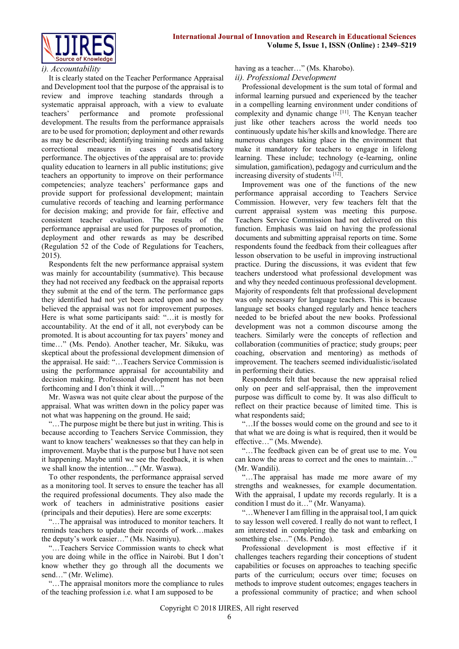



#### *i). Accountability*

It is clearly stated on the Teacher Performance Appraisal and Development tool that the purpose of the appraisal is to review and improve teaching standards through a systematic appraisal approach, with a view to evaluate teachers' performance and promote professional development. The results from the performance appraisals are to be used for promotion; deployment and other rewards as may be described; identifying training needs and taking correctional measures in cases of unsatisfactory performance. The objectives of the appraisal are to: provide quality education to learners in all public institutions; give teachers an opportunity to improve on their performance competencies; analyze teachers' performance gaps and provide support for professional development; maintain cumulative records of teaching and learning performance for decision making; and provide for fair, effective and consistent teacher evaluation. The results of the performance appraisal are used for purposes of promotion, deployment and other rewards as may be described (Regulation 52 of the Code of Regulations for Teachers, 2015).

Respondents felt the new performance appraisal system was mainly for accountability (summative). This because they had not received any feedback on the appraisal reports they submit at the end of the term. The performance gaps they identified had not yet been acted upon and so they believed the appraisal was not for improvement purposes. Here is what some participants said: "…it is mostly for accountability. At the end of it all, not everybody can be promoted. It is about accounting for tax payers' money and time…" (Ms. Pendo). Another teacher, Mr. Sikuku, was skeptical about the professional development dimension of the appraisal. He said: "…Teachers Service Commission is using the performance appraisal for accountability and decision making. Professional development has not been forthcoming and I don't think it will...

Mr. Waswa was not quite clear about the purpose of the appraisal. What was written down in the policy paper was not what was happening on the ground. He said;

"…The purpose might be there but just in writing. This is because according to Teachers Service Commission, they want to know teachers' weaknesses so that they can help in improvement. Maybe that is the purpose but I have not seen it happening. Maybe until we see the feedback, it is when we shall know the intention…" (Mr. Waswa).

To other respondents, the performance appraisal served as a monitoring tool. It serves to ensure the teacher has all the required professional documents. They also made the work of teachers in administrative positions easier (principals and their deputies). Here are some excerpts:

"…The appraisal was introduced to monitor teachers. It reminds teachers to update their records of work…makes the deputy's work easier…" (Ms. Nasimiyu).

"…Teachers Service Commission wants to check what you are doing while in the office in Nairobi. But I don't know whether they go through all the documents we send…" (Mr. Welime).

"…The appraisal monitors more the compliance to rules of the teaching profession i.e. what I am supposed to be

having as a teacher..." (Ms. Kharobo).

*ii). Professional Development*

Professional development is the sum total of formal and informal learning pursued and experienced by the teacher in a compelling learning environment under conditions of complexity and dynamic change [11] . The Kenyan teacher just like other teachers across the world needs too continuously update his/her skills and knowledge. There are numerous changes taking place in the environment that make it mandatory for teachers to engage in lifelong learning. These include; technology (e-learning, online simulation, gamification), pedagogy and curriculum and the increasing diversity of students [12].

Improvement was one of the functions of the new performance appraisal according to Teachers Service Commission. However, very few teachers felt that the current appraisal system was meeting this purpose. Teachers Service Commission had not delivered on this function. Emphasis was laid on having the professional documents and submitting appraisal reports on time. Some respondents found the feedback from their colleagues after lesson observation to be useful in improving instructional practice. During the discussions, it was evident that few teachers understood what professional development was and why they needed continuous professional development. Majority of respondents felt that professional development was only necessary for language teachers. This is because language set books changed regularly and hence teachers needed to be briefed about the new books. Professional development was not a common discourse among the teachers. Similarly were the concepts of reflection and collaboration (communities of practice; study groups; peer coaching, observation and mentoring) as methods of improvement. The teachers seemed individualistic/isolated in performing their duties.

Respondents felt that because the new appraisal relied only on peer and self-appraisal, then the improvement purpose was difficult to come by. It was also difficult to reflect on their practice because of limited time. This is what respondents said;

"…If the bosses would come on the ground and see to it that what we are doing is what is required, then it would be effective…" (Ms. Mwende).

"…The feedback given can be of great use to me. You can know the areas to correct and the ones to maintain…" (Mr. Wandili).

"…The appraisal has made me more aware of my strengths and weaknesses, for example documentation. With the appraisal, I update my records regularly. It is a condition I must do it…" (Mr. Wanyama).

"…Whenever I am filling in the appraisal tool, I am quick to say lesson well covered. I really do not want to reflect, I am interested in completing the task and embarking on something else…" (Ms. Pendo).

Professional development is most effective if it challenges teachers regarding their conceptions of student capabilities or focuses on approaches to teaching specific parts of the curriculum; occurs over time; focuses on methods to improve student outcomes; engages teachers in a professional community of practice; and when school